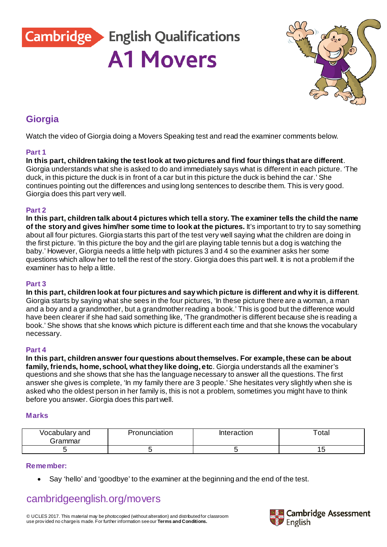**Cambridge English Qualifications** 

**A1 Movers** 

### **Giorgia**

Watch the video of Giorgia doing a Movers Speaking test and read the examiner comments below.

#### **Part 1**

**In this part, children taking the test look at two pictures and find four things that are different**. Giorgia understands what she is asked to do and immediately says what is different in each picture. 'The duck, in this picture the duck is in front of a car but in this picture the duck is behind the car.' She continues pointing out the differences and using long sentences to describe them. This is very good. Giorgia does this part very well.

#### **Part 2**

**In this part, children talk about 4 pictures which tell a story. The examiner tells the child the name of the story and gives him/her some time to look at the pictures.** It's important to try to say something about all four pictures. Giorgia starts this part of the test very well saying what the children are doing in the first picture. 'In this picture the boy and the girl are playing table tennis but a dog is watching the baby.' However, Giorgia needs a little help with pictures 3 and 4 so the examiner asks her some questions which allow her to tell the rest of the story. Giorgia does this part well. It is not a problem if the examiner has to help a little.

#### **Part 3**

**In this part, children look at four pictures and say which picture is different and why it is different**. Giorgia starts by saying what she sees in the four pictures, 'In these picture there are a woman, a man and a boy and a grandmother, but a grandmother reading a book.' This is good but the difference would have been clearer if she had said something like, 'The grandmother is different because she is reading a book.' She shows that she knows which picture is different each time and that she knows the vocabulary necessary.

#### **Part 4**

**In this part, children answer four questions about themselves. For example, these can be about family, friends, home, school, what they like doing, etc**. Giorgia understands all the examiner's questions and she shows that she has the language necessary to answer all the questions. The first answer she gives is complete, 'In my family there are 3 people.' She hesitates very slightly when she is asked who the oldest person in her family is, this is not a problem, sometimes you might have to think before you answer. Giorgia does this part well.

#### **Marks**

| Vocabulary and<br>Grammar | onunciation | Interaction | ' ota⊧ |
|---------------------------|-------------|-------------|--------|
|                           |             |             |        |

#### **Remember:**

• Say 'hello' and 'goodbye' to the examiner at the beginning and the end of the test.

# [cambridgeenglish.org/movers](http://cambridgeenglish.org/movers)

© UCLES 2017. This material may be photocopied (without alteration) and distributed for classroom use prov ided no charge is made. For further information see our **[Terms and Conditions.](http://www.cambridgeenglish.org/footer/terms-and-conditions/)**